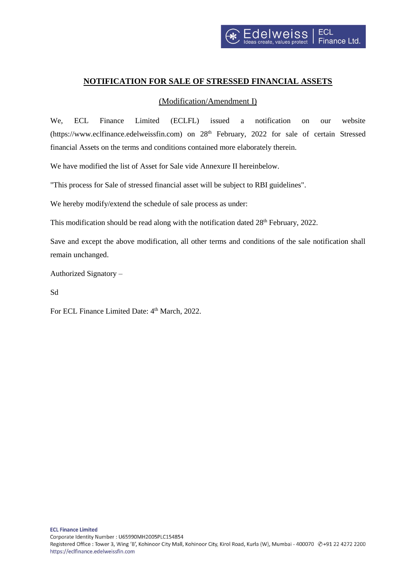## **NOTIFICATION FOR SALE OF STRESSED FINANCIAL ASSETS**

## (Modification/Amendment I)

We, ECL Finance Limited (ECLFL) issued a notification on our website (https://www.eclfinance.edelweissfin.com) on 28<sup>th</sup> February, 2022 for sale of certain Stressed financial Assets on the terms and conditions contained more elaborately therein.

We have modified the list of Asset for Sale vide Annexure II hereinbelow.

"This process for Sale of stressed financial asset will be subject to RBI guidelines".

We hereby modify/extend the schedule of sale process as under:

This modification should be read along with the notification dated  $28<sup>th</sup>$  February, 2022.

Save and except the above modification, all other terms and conditions of the sale notification shall remain unchanged.

Authorized Signatory –

Sd

For ECL Finance Limited Date: 4<sup>th</sup> March, 2022.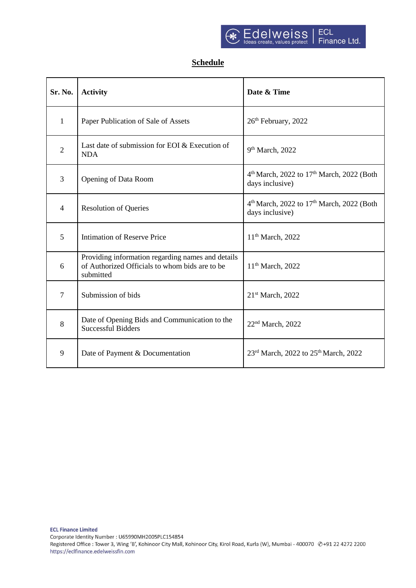## **Schedule**

| Sr. No.        | <b>Activity</b>                                                                                                  | Date & Time                                                                          |  |
|----------------|------------------------------------------------------------------------------------------------------------------|--------------------------------------------------------------------------------------|--|
| $\mathbf{1}$   | Paper Publication of Sale of Assets                                                                              | 26th February, 2022                                                                  |  |
| $\overline{2}$ | Last date of submission for EOI & Execution of<br><b>NDA</b>                                                     | $9th March$ , 2022                                                                   |  |
| 3              | Opening of Data Room                                                                                             | 4 <sup>th</sup> March, 2022 to 17 <sup>th</sup> March, 2022 (Both<br>days inclusive) |  |
| $\overline{4}$ | <b>Resolution of Queries</b>                                                                                     | 4 <sup>th</sup> March, 2022 to 17 <sup>th</sup> March, 2022 (Both<br>days inclusive) |  |
| 5              | <b>Intimation of Reserve Price</b>                                                                               | 11 <sup>th</sup> March, 2022                                                         |  |
| 6              | Providing information regarding names and details<br>of Authorized Officials to whom bids are to be<br>submitted | 11 <sup>th</sup> March, 2022                                                         |  |
| $\overline{7}$ | Submission of bids                                                                                               | 21 <sup>st</sup> March, 2022                                                         |  |
| 8              | Date of Opening Bids and Communication to the<br><b>Successful Bidders</b>                                       | 22 <sup>nd</sup> March, 2022                                                         |  |
| 9              | Date of Payment & Documentation                                                                                  | 23 <sup>rd</sup> March, 2022 to 25 <sup>th</sup> March, 2022                         |  |